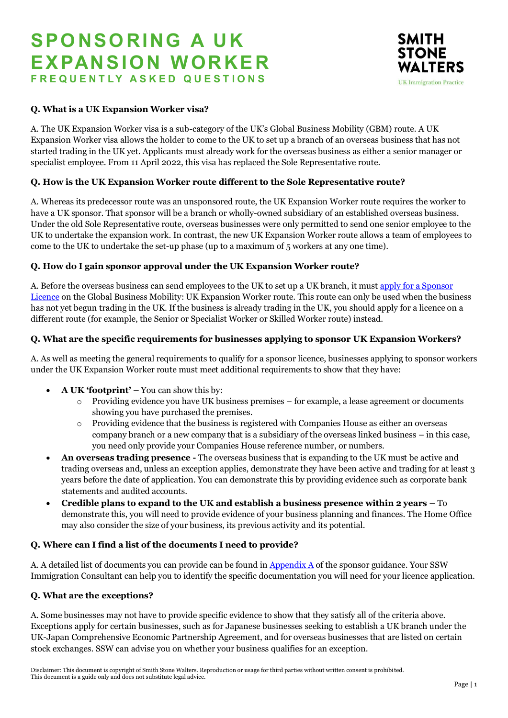# **SPO NSO RING A UK EXPANSIO N WORKER F R E Q U E N T L Y A S K E D Q U E S T I O N S**



# **Q. What is a UK Expansion Worker visa?**

A. The UK Expansion Worker visa is a sub-category of the UK's Global Business Mobility (GBM) route. A UK Expansion Worker visa allows the holder to come to the UK to set up a branch of an overseas business that has not started trading in the UK yet. Applicants must already work for the overseas business as either a senior manager or specialist employee. From 11 April 2022, this visa has replaced the Sole Representative route.

# **Q. How is the UK Expansion Worker route different to the Sole Representative route?**

A. Whereas its predecessor route was an unsponsored route, the UK Expansion Worker route requires the worker to have a UK sponsor. That sponsor will be a branch or wholly-owned subsidiary of an established overseas business. Under the old Sole Representative route, overseas businesses were only permitted to send one senior employee to the UK to undertake the expansion work. In contrast, the new UK Expansion Worker route allows a team of employees to come to the UK to undertake the set-up phase (up to a maximum of 5 workers at any one time).

## **Q. How do I gain sponsor approval under the UK Expansion Worker route?**

A. Before the overseas business can send employees to the UK to set up a UK branch, it must apply for [a Sponsor](https://assets.publishing.service.gov.uk/government/uploads/system/uploads/attachment_data/file/1067932/Sponsor-guidance_Part-1-Apply-for-licence_04-22.pdf)  [Licence](https://assets.publishing.service.gov.uk/government/uploads/system/uploads/attachment_data/file/1067932/Sponsor-guidance_Part-1-Apply-for-licence_04-22.pdf) on the Global Business Mobility: UK Expansion Worker route. This route can only be used when the business has not yet begun trading in the UK. If the business is already trading in the UK, you should apply for a licence on a different route (for example, the Senior or Specialist Worker or Skilled Worker route) instead.

## **Q. What are the specific requirements for businesses applying to sponsor UK Expansion Workers?**

A. As well as meeting the general requirements to qualify for a sponsor licence, businesses applying to sponsor workers under the UK Expansion Worker route must meet additional requirements to show that they have:

- **A UK 'footprint' –** You can show this by:
	- $\circ$  Providing evidence you have UK business premises for example, a lease agreement or documents showing you have purchased the premises.
	- o Providing evidence that the business is registered with Companies House as either an overseas company branch or a new company that is a subsidiary of the overseas linked business – in this case, you need only provide your Companies House reference number, or numbers.
- **An overseas trading presence -** The overseas business that is expanding to the UK must be active and trading overseas and, unless an exception applies, demonstrate they have been active and trading for at least 3 years before the date of application. You can demonstrate this by providing evidence such as corporate bank statements and audited accounts.
- **Credible plans to expand to the UK and establish a business presence within 2 years –** To demonstrate this, you will need to provide evidence of your business planning and finances. The Home Office may also consider the size of your business, its previous activity and its potential.

## **Q. Where can I find a list of the documents I need to provide?**

A. A detailed list of documents you can provide can be found in [Appendix A](https://www.gov.uk/government/publications/supporting-documents-for-sponsor-applications-appendix-a) of the sponsor guidance. Your SSW Immigration Consultant can help you to identify the specific documentation you will need for your licence application.

## **Q. What are the exceptions?**

A. Some businesses may not have to provide specific evidence to show that they satisfy all of the criteria above. Exceptions apply for certain businesses, such as for Japanese businesses seeking to establish a UK branch under the UK-Japan Comprehensive Economic Partnership Agreement, and for overseas businesses that are listed on certain stock exchanges. SSW can advise you on whether your business qualifies for an exception.